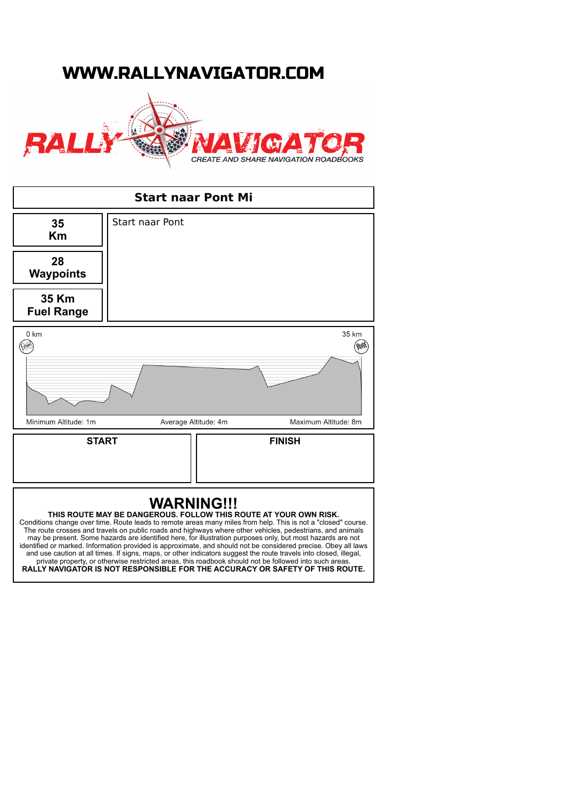## WWW.RALLYNAVIGATOR.COM



| <b>Start naar Pont Mi</b>                                                                                                                                                                                                                                                                                                                                                                                                                                                                                                                                                                                                                                                                                                                                                          |                        |               |
|------------------------------------------------------------------------------------------------------------------------------------------------------------------------------------------------------------------------------------------------------------------------------------------------------------------------------------------------------------------------------------------------------------------------------------------------------------------------------------------------------------------------------------------------------------------------------------------------------------------------------------------------------------------------------------------------------------------------------------------------------------------------------------|------------------------|---------------|
| 35<br>Km                                                                                                                                                                                                                                                                                                                                                                                                                                                                                                                                                                                                                                                                                                                                                                           | <b>Start naar Pont</b> |               |
| 28<br><b>Waypoints</b>                                                                                                                                                                                                                                                                                                                                                                                                                                                                                                                                                                                                                                                                                                                                                             |                        |               |
| 35 Km<br><b>Fuel Range</b>                                                                                                                                                                                                                                                                                                                                                                                                                                                                                                                                                                                                                                                                                                                                                         |                        |               |
| 0 km<br>35 km<br>Minimum Altitude: 1m<br>Maximum Altitude: 8m<br>Average Altitude: 4m                                                                                                                                                                                                                                                                                                                                                                                                                                                                                                                                                                                                                                                                                              |                        |               |
| <b>START</b>                                                                                                                                                                                                                                                                                                                                                                                                                                                                                                                                                                                                                                                                                                                                                                       |                        | <b>FINISH</b> |
| <b>WARNING!!!</b><br>THIS ROUTE MAY BE DANGEROUS. FOLLOW THIS ROUTE AT YOUR OWN RISK.<br>Conditions change over time. Route leads to remote areas many miles from help. This is not a "closed" course.<br>The route crosses and travels on public roads and highways where other vehicles, pedestrians, and animals<br>may be present. Some hazards are identified here, for illustration purposes only, but most hazards are not<br>identified or marked. Information provided is approximate, and should not be considered precise. Obey all laws<br>and use caution at all times. If signs, maps, or other indicators suggest the route travels into closed, illegal,<br>private property, or otherwise restricted areas, this roadbook should not be followed into such areas. |                        |               |

**RALLY NAVIGATOR IS NOT RESPONSIBLE FOR THE ACCURACY OR SAFETY OF THIS ROUTE.**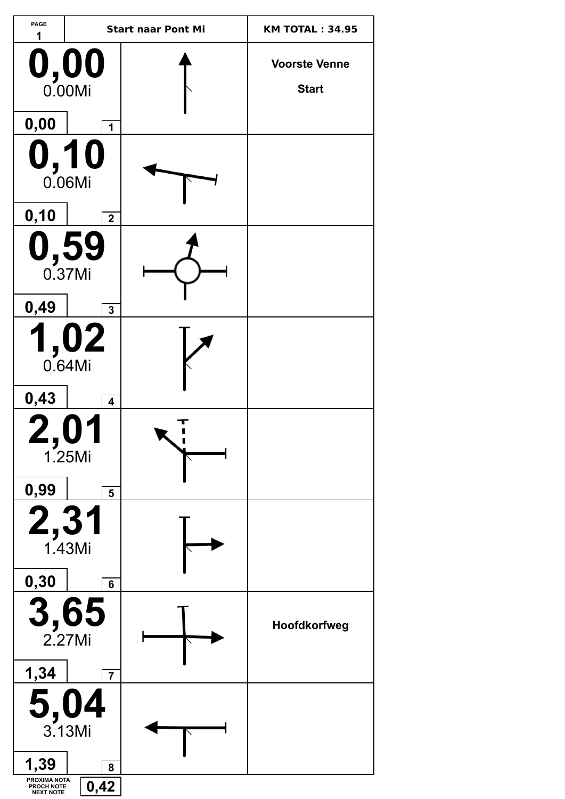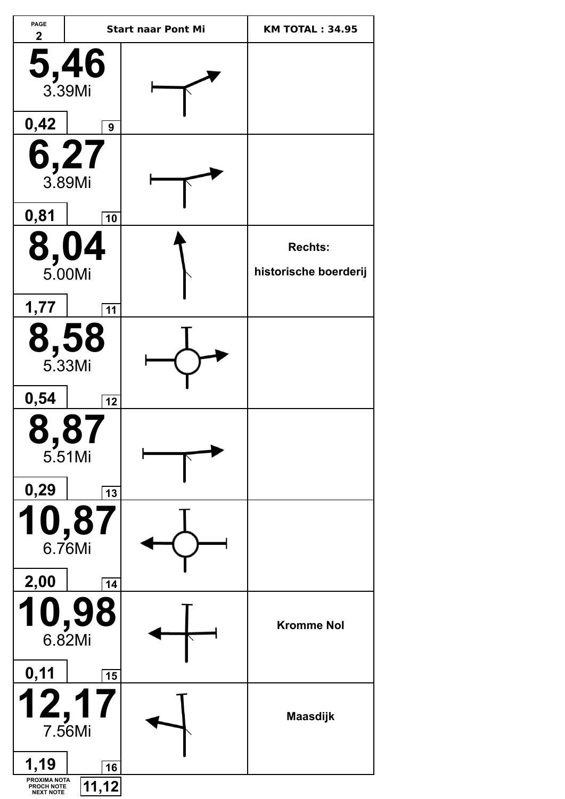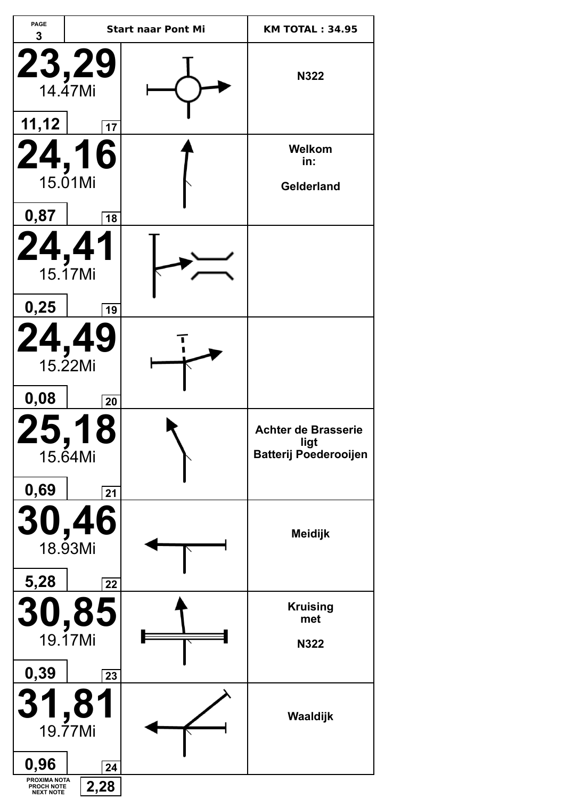